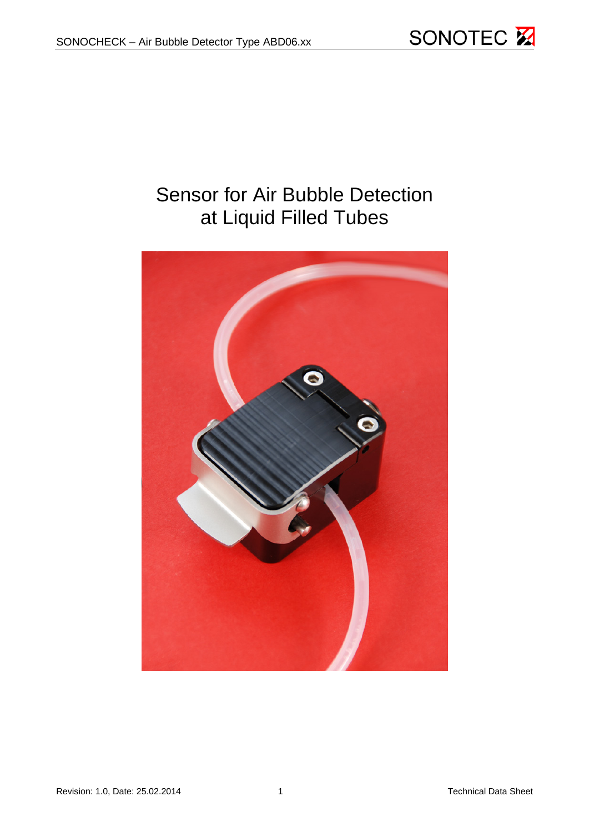

# Sensor for Air Bubble Detection at Liquid Filled Tubes

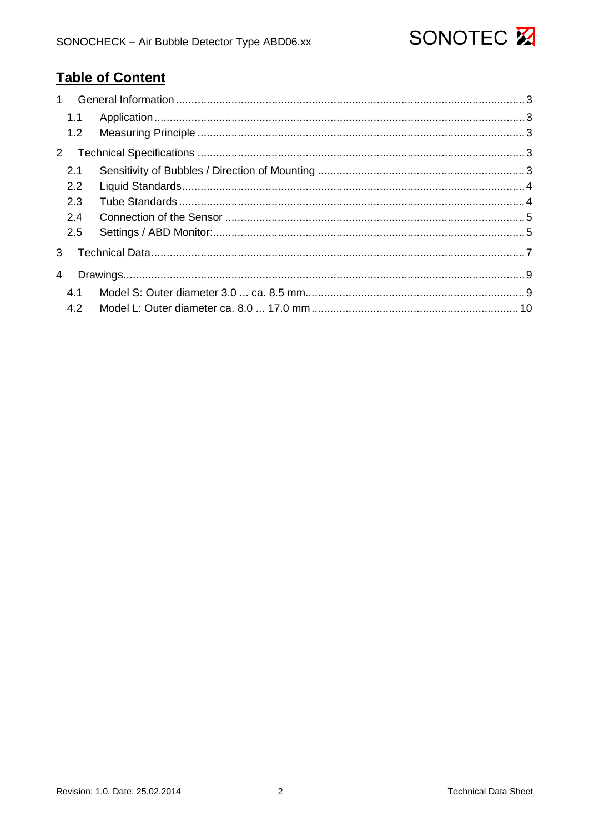# **Table of Content**

| 1.1 |  |
|-----|--|
| 1.2 |  |
| 2   |  |
| 2.1 |  |
| 2.2 |  |
| 2.3 |  |
| 2.4 |  |
| 2.5 |  |
| 3   |  |
| 4   |  |
| 4.1 |  |
| 4.2 |  |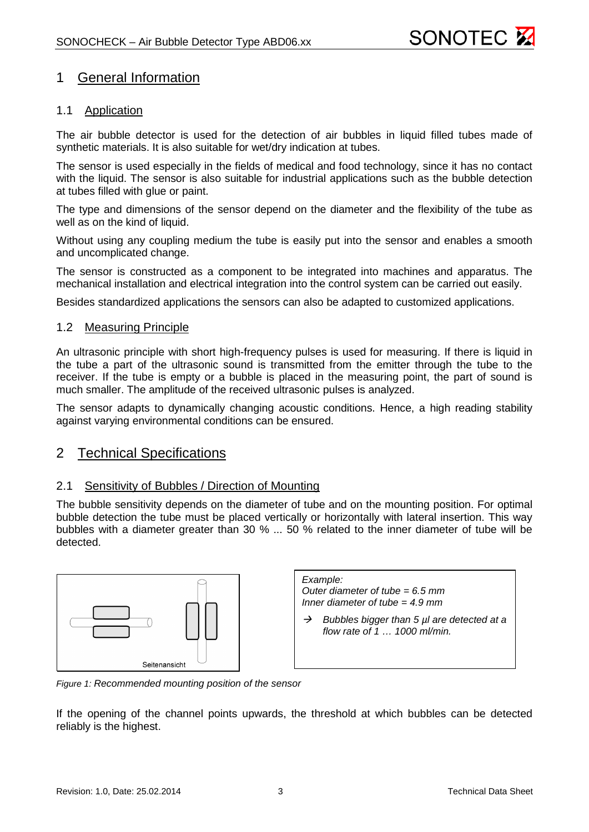

# <span id="page-2-0"></span>1 General Information

#### <span id="page-2-1"></span>1.1 Application

The air bubble detector is used for the detection of air bubbles in liquid filled tubes made of synthetic materials. It is also suitable for wet/dry indication at tubes.

The sensor is used especially in the fields of medical and food technology, since it has no contact with the liquid. The sensor is also suitable for industrial applications such as the bubble detection at tubes filled with glue or paint.

The type and dimensions of the sensor depend on the diameter and the flexibility of the tube as well as on the kind of liquid.

Without using any coupling medium the tube is easily put into the sensor and enables a smooth and uncomplicated change.

The sensor is constructed as a component to be integrated into machines and apparatus. The mechanical installation and electrical integration into the control system can be carried out easily.

<span id="page-2-2"></span>Besides standardized applications the sensors can also be adapted to customized applications.

#### 1.2 Measuring Principle

An ultrasonic principle with short high-frequency pulses is used for measuring. If there is liquid in the tube a part of the ultrasonic sound is transmitted from the emitter through the tube to the receiver. If the tube is empty or a bubble is placed in the measuring point, the part of sound is much smaller. The amplitude of the received ultrasonic pulses is analyzed.

The sensor adapts to dynamically changing acoustic conditions. Hence, a high reading stability against varying environmental conditions can be ensured.

### <span id="page-2-3"></span>2 Technical Specifications

#### <span id="page-2-4"></span>2.1 Sensitivity of Bubbles / Direction of Mounting

The bubble sensitivity depends on the diameter of tube and on the mounting position. For optimal bubble detection the tube must be placed vertically or horizontally with lateral insertion. This way bubbles with a diameter greater than 30 % ... 50 % related to the inner diameter of tube will be detected.



*Example: Outer diameter of tube = 6.5 mm Inner diameter of tube = 4.9 mm*

 *Bubbles bigger than 5 µl are detected at a flow rate of 1 … 1000 ml/min.*

*Figure 1: Recommended mounting position of the sensor*

If the opening of the channel points upwards, the threshold at which bubbles can be detected reliably is the highest.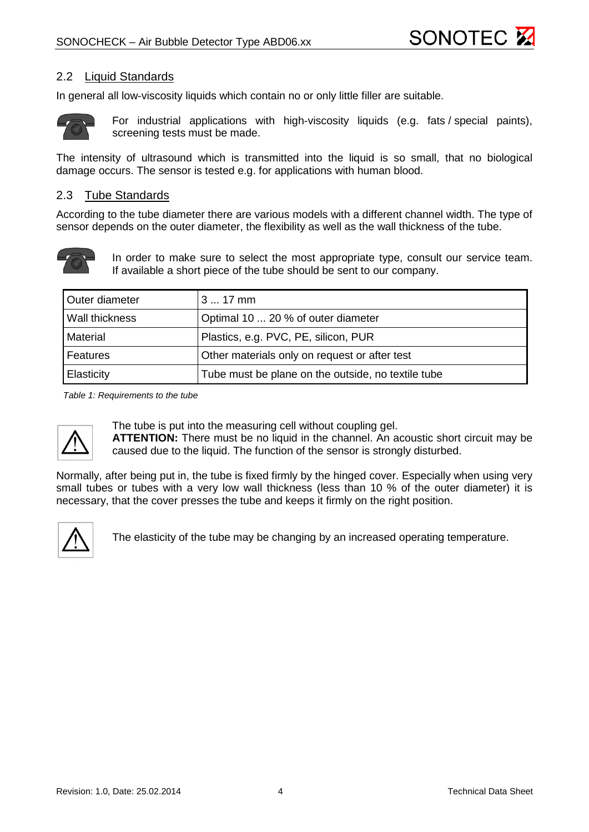

#### <span id="page-3-0"></span>2.2 Liquid Standards

In general all low-viscosity liquids which contain no or only little filler are suitable.



For industrial applications with high-viscosity liquids (e.g. fats / special paints), screening tests must be made.

The intensity of ultrasound which is transmitted into the liquid is so small, that no biological damage occurs. The sensor is tested e.g. for applications with human blood.

#### <span id="page-3-1"></span>2.3 Tube Standards

According to the tube diameter there are various models with a different channel width. The type of sensor depends on the outer diameter, the flexibility as well as the wall thickness of the tube.



In order to make sure to select the most appropriate type, consult our service team. If available a short piece of the tube should be sent to our company.

| Outer diameter | $317$ mm                                           |  |  |
|----------------|----------------------------------------------------|--|--|
| Wall thickness | Optimal 10  20 % of outer diameter                 |  |  |
| Material       | Plastics, e.g. PVC, PE, silicon, PUR               |  |  |
| Features       | Other materials only on request or after test      |  |  |
| Elasticity     | Tube must be plane on the outside, no textile tube |  |  |

*Table 1: Requirements to the tube*



The tube is put into the measuring cell without coupling gel.

**ATTENTION:** There must be no liquid in the channel. An acoustic short circuit may be caused due to the liquid. The function of the sensor is strongly disturbed.

Normally, after being put in, the tube is fixed firmly by the hinged cover. Especially when using very small tubes or tubes with a very low wall thickness (less than 10 % of the outer diameter) it is necessary, that the cover presses the tube and keeps it firmly on the right position.



The elasticity of the tube may be changing by an increased operating temperature.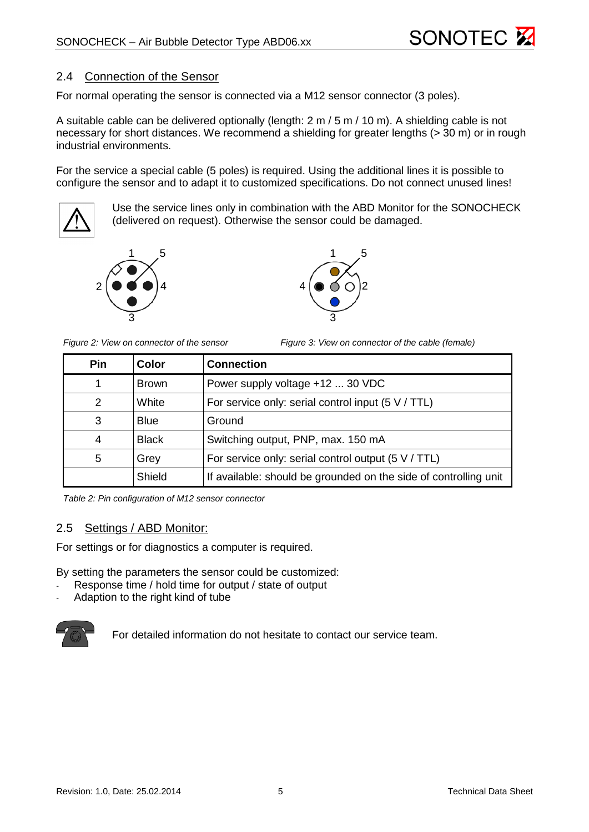

#### <span id="page-4-0"></span>2.4 Connection of the Sensor

For normal operating the sensor is connected via a M12 sensor connector (3 poles).

A suitable cable can be delivered optionally (length: 2 m / 5 m / 10 m). A shielding cable is not necessary for short distances. We recommend a shielding for greater lengths (> 30 m) or in rough industrial environments.

For the service a special cable (5 poles) is required. Using the additional lines it is possible to configure the sensor and to adapt it to customized specifications. Do not connect unused lines!



Use the service lines only in combination with the ABD Monitor for the SONOCHECK (delivered on request). Otherwise the sensor could be damaged.

4

3





*Figure 2: View on connector of the sensor Figure 3: View on connector of the cable (female)*

2

5

| Pin | Color                                                         | <b>Connection</b>                                                |  |
|-----|---------------------------------------------------------------|------------------------------------------------------------------|--|
|     | <b>Brown</b>                                                  | Power supply voltage +12  30 VDC                                 |  |
| 2   | White                                                         | For service only: serial control input $(5 V / TTL)$             |  |
| 3   | <b>Blue</b>                                                   | Ground                                                           |  |
| 4   | <b>Black</b><br>Switching output, PNP, max. 150 mA            |                                                                  |  |
| 5   | For service only: serial control output $(5 V / TTL)$<br>Grey |                                                                  |  |
|     | Shield                                                        | If available: should be grounded on the side of controlling unit |  |

*Table 2: Pin configuration of M12 sensor connector*

#### <span id="page-4-1"></span>2.5 Settings / ABD Monitor:

For settings or for diagnostics a computer is required.

By setting the parameters the sensor could be customized:

- Response time / hold time for output / state of output
- Adaption to the right kind of tube



For detailed information do not hesitate to contact our service team.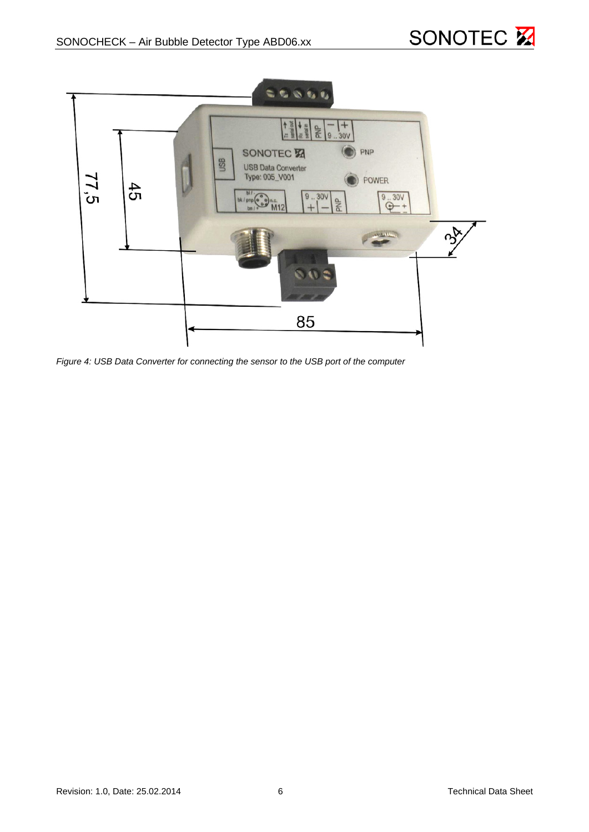



*Figure 4: USB Data Converter for connecting the sensor to the USB port of the computer*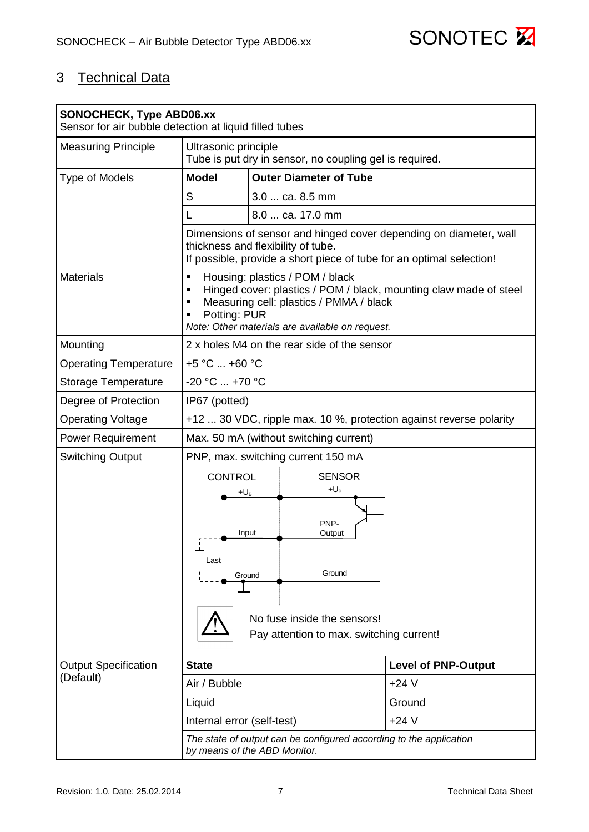

# <span id="page-6-0"></span>3 Technical Data

| <b>SONOCHECK, Type ABD06.xx</b><br>Sensor for air bubble detection at liquid filled tubes |                                                                                                                                                                                                                    |                                                                                             |                            |  |
|-------------------------------------------------------------------------------------------|--------------------------------------------------------------------------------------------------------------------------------------------------------------------------------------------------------------------|---------------------------------------------------------------------------------------------|----------------------------|--|
| <b>Measuring Principle</b>                                                                | Ultrasonic principle<br>Tube is put dry in sensor, no coupling gel is required.                                                                                                                                    |                                                                                             |                            |  |
| <b>Type of Models</b>                                                                     | <b>Model</b>                                                                                                                                                                                                       | <b>Outer Diameter of Tube</b>                                                               |                            |  |
|                                                                                           | S                                                                                                                                                                                                                  | 3.0  ca. 8.5 mm                                                                             |                            |  |
|                                                                                           |                                                                                                                                                                                                                    | 8.0  ca. 17.0 mm                                                                            |                            |  |
|                                                                                           | Dimensions of sensor and hinged cover depending on diameter, wall<br>thickness and flexibility of tube.<br>If possible, provide a short piece of tube for an optimal selection!                                    |                                                                                             |                            |  |
| <b>Materials</b>                                                                          | Housing: plastics / POM / black<br>Hinged cover: plastics / POM / black, mounting claw made of steel<br>Measuring cell: plastics / PMMA / black<br>Potting: PUR<br>Note: Other materials are available on request. |                                                                                             |                            |  |
| Mounting                                                                                  |                                                                                                                                                                                                                    | 2 x holes M4 on the rear side of the sensor                                                 |                            |  |
| <b>Operating Temperature</b>                                                              | +5 °C  +60 °C                                                                                                                                                                                                      |                                                                                             |                            |  |
| <b>Storage Temperature</b>                                                                | -20 °C  +70 °C                                                                                                                                                                                                     |                                                                                             |                            |  |
| Degree of Protection                                                                      | IP67 (potted)                                                                                                                                                                                                      |                                                                                             |                            |  |
| <b>Operating Voltage</b>                                                                  | +12  30 VDC, ripple max. 10 %, protection against reverse polarity                                                                                                                                                 |                                                                                             |                            |  |
| <b>Power Requirement</b>                                                                  | Max. 50 mA (without switching current)                                                                                                                                                                             |                                                                                             |                            |  |
| <b>Switching Output</b>                                                                   | PNP, max. switching current 150 mA                                                                                                                                                                                 |                                                                                             |                            |  |
|                                                                                           | <b>CONTROL</b><br>+U <sub>B</sub>                                                                                                                                                                                  | <b>SENSOR</b><br>$+U_B$<br>PNP-<br>Input<br>Output                                          |                            |  |
|                                                                                           | Last                                                                                                                                                                                                               | Ground<br>Ground<br>No fuse inside the sensors!<br>Pay attention to max. switching current! |                            |  |
| <b>Output Specification</b>                                                               | <b>State</b>                                                                                                                                                                                                       |                                                                                             | <b>Level of PNP-Output</b> |  |
| (Default)                                                                                 | Air / Bubble                                                                                                                                                                                                       |                                                                                             | $+24V$                     |  |
|                                                                                           | Liquid                                                                                                                                                                                                             |                                                                                             | Ground                     |  |
|                                                                                           | Internal error (self-test)                                                                                                                                                                                         |                                                                                             | $+24V$                     |  |
|                                                                                           | The state of output can be configured according to the application<br>by means of the ABD Monitor.                                                                                                                 |                                                                                             |                            |  |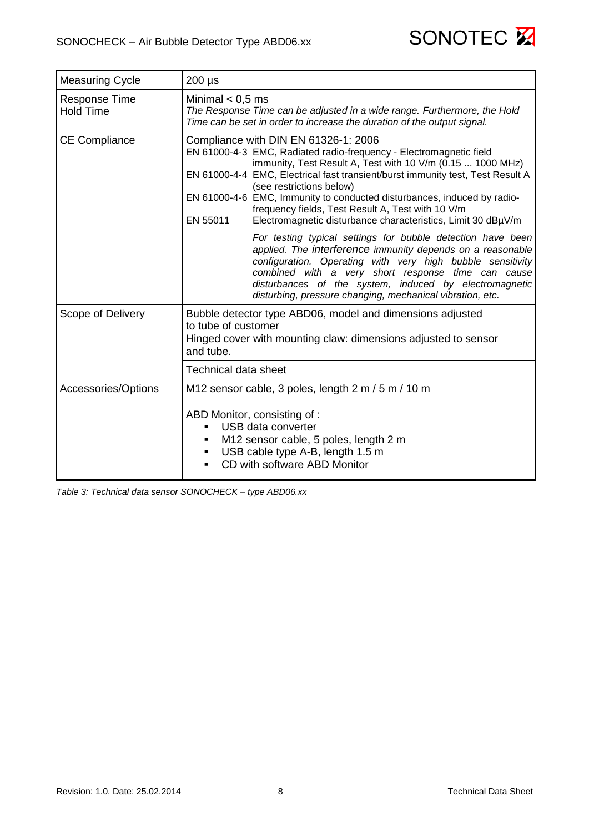

| <b>Measuring Cycle</b>                   | $200 \mu s$                                                                                                                                                                                                                                                                                                                                                                                                                                                                                                                                                       |  |  |  |
|------------------------------------------|-------------------------------------------------------------------------------------------------------------------------------------------------------------------------------------------------------------------------------------------------------------------------------------------------------------------------------------------------------------------------------------------------------------------------------------------------------------------------------------------------------------------------------------------------------------------|--|--|--|
| <b>Response Time</b><br><b>Hold Time</b> | Minimal $< 0.5$ ms<br>The Response Time can be adjusted in a wide range. Furthermore, the Hold<br>Time can be set in order to increase the duration of the output signal.                                                                                                                                                                                                                                                                                                                                                                                         |  |  |  |
| <b>CE Compliance</b>                     | Compliance with DIN EN 61326-1: 2006<br>EN 61000-4-3 EMC, Radiated radio-frequency - Electromagnetic field<br>immunity, Test Result A, Test with 10 V/m (0.15  1000 MHz)<br>EN 61000-4-4 EMC, Electrical fast transient/burst immunity test, Test Result A<br>(see restrictions below)<br>EN 61000-4-6 EMC, Immunity to conducted disturbances, induced by radio-<br>frequency fields, Test Result A, Test with 10 V/m<br>EN 55011<br>Electromagnetic disturbance characteristics, Limit 30 dBµV/m<br>For testing typical settings for bubble detection have been |  |  |  |
|                                          | applied. The interference immunity depends on a reasonable<br>configuration. Operating with very high bubble sensitivity<br>combined with a very short response time can cause<br>disturbances of the system, induced by electromagnetic<br>disturbing, pressure changing, mechanical vibration, etc.                                                                                                                                                                                                                                                             |  |  |  |
| Scope of Delivery                        | Bubble detector type ABD06, model and dimensions adjusted<br>to tube of customer<br>Hinged cover with mounting claw: dimensions adjusted to sensor<br>and tube.                                                                                                                                                                                                                                                                                                                                                                                                   |  |  |  |
|                                          | <b>Technical data sheet</b>                                                                                                                                                                                                                                                                                                                                                                                                                                                                                                                                       |  |  |  |
| Accessories/Options                      | M12 sensor cable, 3 poles, length 2 m / 5 m / 10 m                                                                                                                                                                                                                                                                                                                                                                                                                                                                                                                |  |  |  |
|                                          | ABD Monitor, consisting of:<br>USB data converter<br>$\blacksquare$<br>M12 sensor cable, 5 poles, length 2 m<br>٠<br>USB cable type A-B, length 1.5 m<br>٠<br>CD with software ABD Monitor<br>$\blacksquare$                                                                                                                                                                                                                                                                                                                                                      |  |  |  |

*Table 3: Technical data sensor SONOCHECK – type ABD06.xx*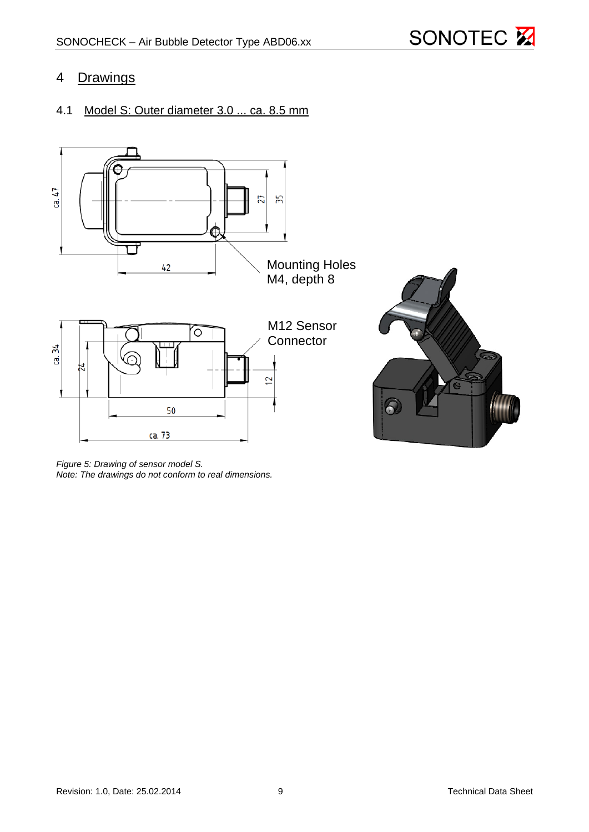

### <span id="page-8-0"></span>4 Drawings

## <span id="page-8-1"></span>4.1 Model S: Outer diameter 3.0 ... ca. 8.5 mm



*Figure 5: Drawing of sensor model S. Note: The drawings do not conform to real dimensions.*